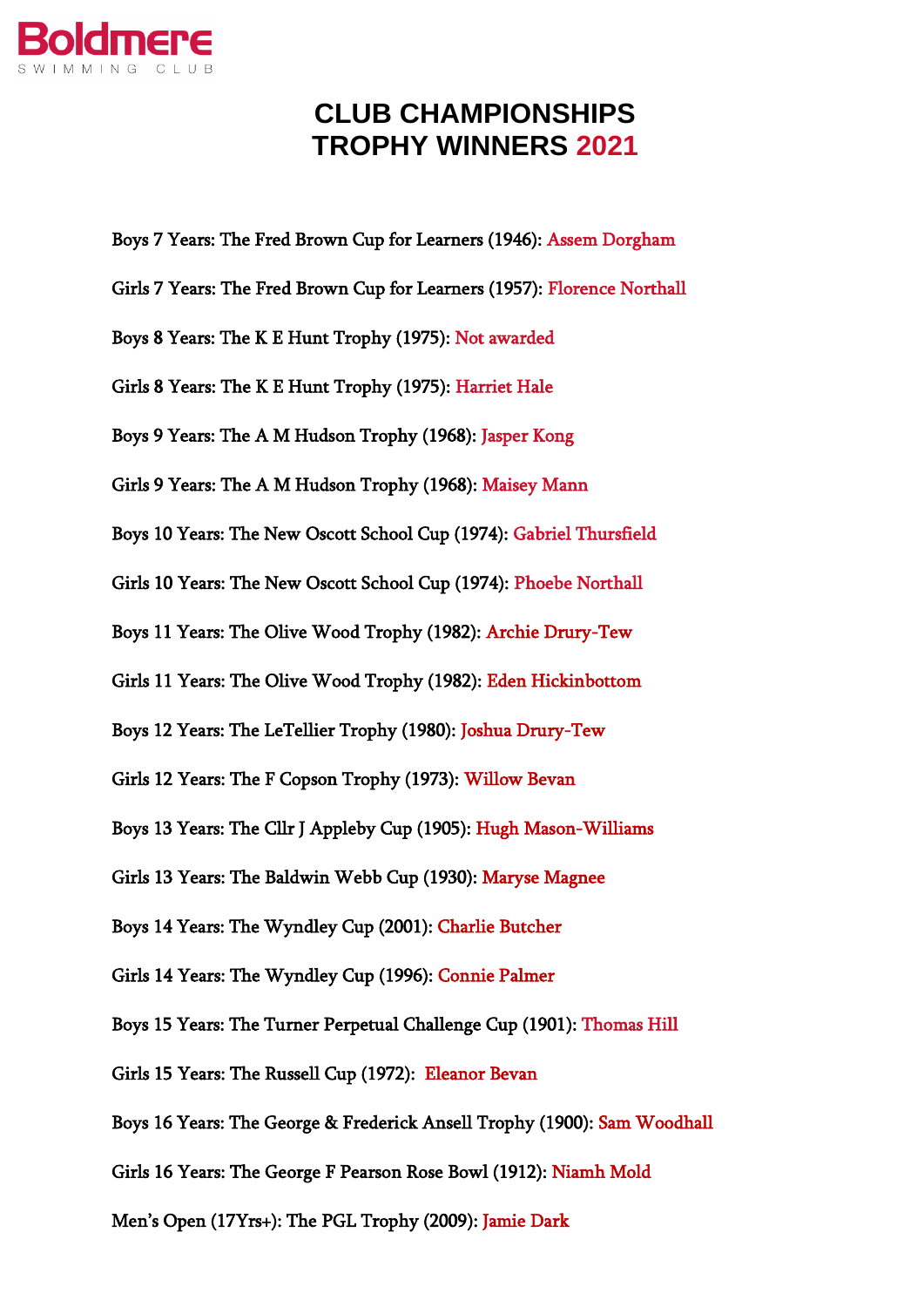

## **CLUB CHAMPIONSHIPS TROPHY WINNERS 2021**

Boys 7 Years: The Fred Brown Cup for Learners (1946): Assem Dorgham Girls 7 Years: The Fred Brown Cup for Learners (1957): Florence Northall Boys 8 Years: The K E Hunt Trophy (1975): Not awarded Girls 8 Years: The K E Hunt Trophy (1975): Harriet Hale Boys 9 Years: The A M Hudson Trophy (1968): Jasper Kong Girls 9 Years: The A M Hudson Trophy (1968): Maisey Mann Boys 10 Years: The New Oscott School Cup (1974): Gabriel Thursfield Girls 10 Years: The New Oscott School Cup (1974): Phoebe Northall Boys 11 Years: The Olive Wood Trophy (1982): Archie Drury-Tew Girls 11 Years: The Olive Wood Trophy (1982): Eden Hickinbottom Boys 12 Years: The LeTellier Trophy (1980): Joshua Drury-Tew Girls 12 Years: The F Copson Trophy (1973): Willow Bevan Boys 13 Years: The Cllr J Appleby Cup (1905): Hugh Mason-Williams Girls 13 Years: The Baldwin Webb Cup (1930): Maryse Magnee Boys 14 Years: The Wyndley Cup (2001): Charlie Butcher Girls 14 Years: The Wyndley Cup (1996): Connie Palmer Boys 15 Years: The Turner Perpetual Challenge Cup (1901): Thomas Hill Girls 15 Years: The Russell Cup (1972): Eleanor Bevan Boys 16 Years: The George & Frederick Ansell Trophy (1900): Sam Woodhall Girls 16 Years: The George F Pearson Rose Bowl (1912): Niamh Mold Men's Open (17Yrs+): The PGL Trophy (2009): Jamie Dark